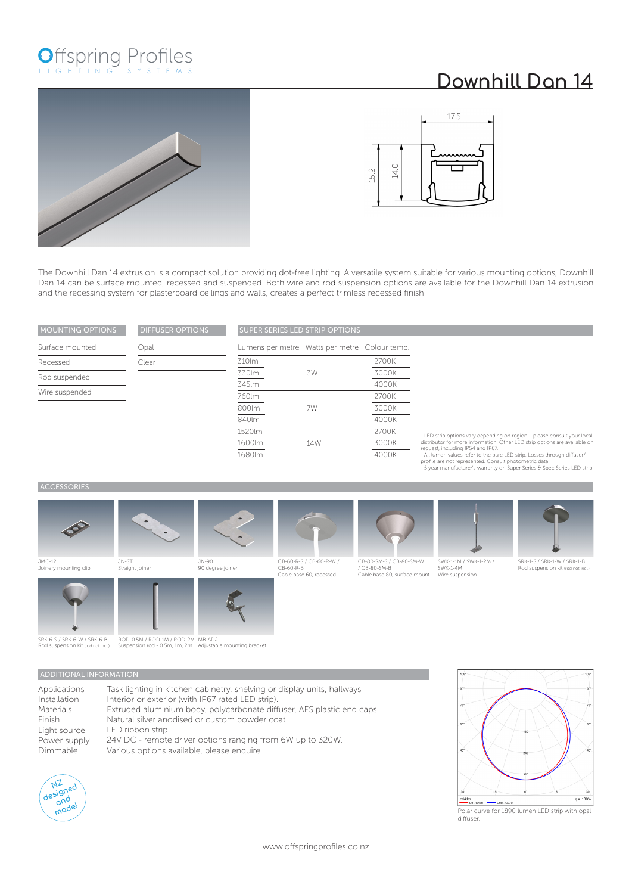## Offspring Profiles

## **Downhill Dan 14**





The Downhill Dan 14 extrusion is a compact solution providing dot-free lighting. A versatile system suitable for various mounting options, Downhill Dan 14 can be surface mounted, recessed and suspended. Both wire and rod suspension options are available for the Downhill Dan 14 extrusion and the recessing system for plasterboard ceilings and walls, creates a perfect trimless recessed finish.

| <b>MOUNTING OPTIONS</b> | <b>DIFFUSER OPTIONS</b> |                          | <b>SUPER SERIES LED STRIP</b> |  |  |
|-------------------------|-------------------------|--------------------------|-------------------------------|--|--|
| Surface mounted         | Opal                    | Lumens per metre Watts p |                               |  |  |
| Recessed                | Clear                   | 310lm                    |                               |  |  |
| Rod suspended           |                         | 330lm                    | 3W                            |  |  |
| Wire suspended          |                         | 345lm                    |                               |  |  |
|                         |                         | 760lm<br>800lm           | 7W                            |  |  |

| <b>SUPER SERIES LED STRIP OPTIONS</b> |  |  |  |  |
|---------------------------------------|--|--|--|--|
|                                       |  |  |  |  |

|        | Lumens per metre Watts per metre Colour temp. |       |
|--------|-----------------------------------------------|-------|
| 310lm  |                                               | 2700K |
| 330lm  | .3W                                           | 3000K |
| 345lm  |                                               | 4000K |
| 760lm  |                                               | 2700K |
| 800lm  | 7W                                            | 3000K |
| 840lm  |                                               | 4000K |
| 1520lm |                                               | 2700K |
| 1600lm | 14W                                           | 3000K |
| 1680lm |                                               | 4000K |

- LED strip options vary depending on region – please consult your local<br>distributor for more information. Other LED strip options are available on<br>request, including IPS4 and IP67.<br>- All lumen values refer to the bare LED

## **ACCESSORIES**











SWK-1-1M / SWK-1-2M / SWK-1-4M



SRK-1-S / SRK-1-W / SRK-1-B Rod suspension kit (rod not incl.)

JMC-12 Joinery mounting clip



SRK-6-S / SRK-6-W / SRK-6-B Rod suspension kit (rod not incl.)











Applications Installation Materials Finish Light source

ROD-0.5M / ROD-1M / ROD-2M MB-ADJ<br>Suspension rod - 0.5m, 1m, 2m Adjustable mounting bracket

## ADDITIONAL INFORMATION

| Applications | Task lighting in kitchen cabinetry, shelving or display units, hallways |
|--------------|-------------------------------------------------------------------------|
| Installation | Interior or exterior (with IP67 rated LED strip).                       |
| Materials    | Extruded aluminium body, polycarbonate diffuser, AES plastic end caps.  |
| Finish       | Natural silver anodised or custom powder coat.                          |
| Light source | LED ribbon strip.                                                       |
| Power supply | 24V DC - remote driver options ranging from 6W up to 320W.              |
| Dimmable     | Various options available, please enquire.                              |





Polar curve for 1890 lumen LED strip with opal diffuser.